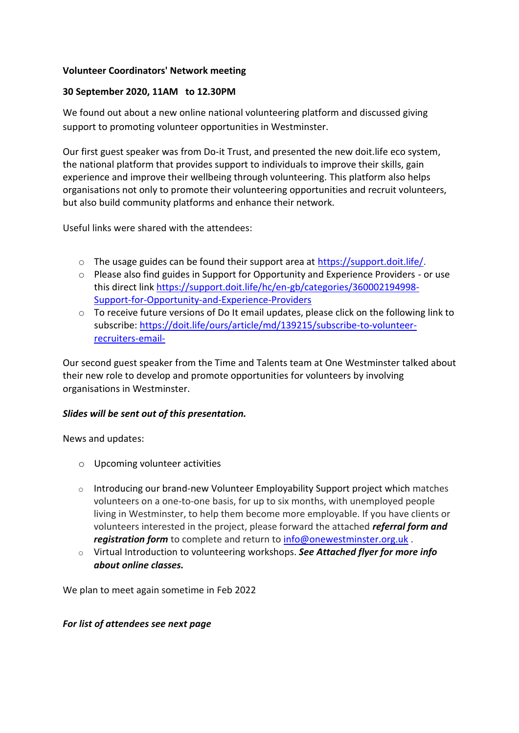## **Volunteer Coordinators' Network meeting**

## **30 September 2020, 11AM to 12.30PM**

We found out about a new online national volunteering platform and discussed giving support to promoting volunteer opportunities in Westminster.

Our first guest speaker was from Do-it Trust, and presented the new doit.life eco system, the national platform that provides support to individuals to improve their skills, gain experience and improve their wellbeing through volunteering. This platform also helps organisations not only to promote their volunteering opportunities and recruit volunteers, but also build community platforms and enhance their network.

Useful links were shared with the attendees:

- o The usage guides can be found their support area at [https://support.doit.life/.](https://support.doit.life/)
- $\circ$  Please also find guides in Support for Opportunity and Experience Providers or use this direct link [https://support.doit.life/hc/en-gb/categories/360002194998-](https://support.doit.life/hc/en-gb/categories/360002194998-Support-for-Opportunity-and-Experience-Providers) [Support-for-Opportunity-and-Experience-Providers](https://support.doit.life/hc/en-gb/categories/360002194998-Support-for-Opportunity-and-Experience-Providers)
- o To receive future versions of Do It email updates, please click on the following link to subscribe: [https://doit.life/ours/article/md/139215/subscribe-to-volunteer](https://doit.life/ours/article/md/139215/subscribe-to-volunteer-recruiters-email-)[recruiters-email-](https://doit.life/ours/article/md/139215/subscribe-to-volunteer-recruiters-email-)

Our second guest speaker from the Time and Talents team at One Westminster talked about their new role to develop and promote opportunities for volunteers by involving organisations in Westminster.

## *Slides will be sent out of this presentation.*

News and updates:

- o Upcoming volunteer activities
- o Introducing our brand-new Volunteer Employability Support project which matches volunteers on a one-to-one basis, for up to six months, with unemployed people living in Westminster, to help them become more employable. If you have clients or volunteers interested in the project, please forward the attached *referral form and registration form* to complete and return to [info@onewestminster.org.uk](mailto:info@onewestminster.org.uk) .
- o Virtual Introduction to volunteering workshops. *See Attached flyer for more info about online classes.*

We plan to meet again sometime in Feb 2022

## *For list of attendees see next page*